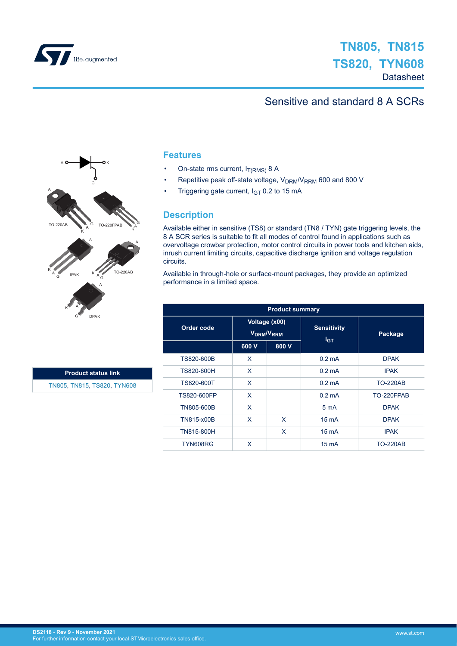

# Sensitive and standard 8 A SCRs



## **Features**

- On-state rms current,  $I_{T(RMS)}$  8 A
- Repetitive peak off-state voltage, V<sub>DRM</sub>/V<sub>RRM</sub> 600 and 800 V
- Triggering gate current,  $I_{GT}$  0.2 to 15 mA

## **Description**

Available either in sensitive (TS8) or standard (TN8 / TYN) gate triggering levels, the 8 A SCR series is suitable to fit all modes of control found in applications such as overvoltage crowbar protection, motor control circuits in power tools and kitchen aids, inrush current limiting circuits, capacitive discharge ignition and voltage regulation circuits.

Available in through-hole or surface-mount packages, they provide an optimized performance in a limited space.

| <b>Product summary</b> |                                                     |       |                                |                 |  |  |  |  |
|------------------------|-----------------------------------------------------|-------|--------------------------------|-----------------|--|--|--|--|
| Order code             | Voltage (x00)<br>V <sub>DRM</sub> /V <sub>RRM</sub> |       | <b>Sensitivity</b><br>$I_{GT}$ | Package         |  |  |  |  |
|                        | 600 V                                               | 800 V |                                |                 |  |  |  |  |
| TS820-600B             | X                                                   |       | $0.2 \text{ mA}$               | <b>DPAK</b>     |  |  |  |  |
| TS820-600H             | X                                                   |       | $0.2 \text{ mA}$               | <b>IPAK</b>     |  |  |  |  |
| TS820-600T             | X                                                   |       | $0.2 \text{ mA}$               | <b>TO-220AB</b> |  |  |  |  |
| TS820-600FP            | X                                                   |       | $0.2 \text{ mA}$               | TO-220FPAB      |  |  |  |  |
| TN805-600B             | X                                                   |       | 5 <sub>m</sub> A               | <b>DPAK</b>     |  |  |  |  |
| TN815-x00B             | X                                                   | X     | $15 \text{ mA}$                | <b>DPAK</b>     |  |  |  |  |
| TN815-800H             |                                                     | X     | $15 \text{ mA}$                | <b>IPAK</b>     |  |  |  |  |
| TYN608RG               | X                                                   |       | $15 \text{ mA}$                | <b>TO-220AB</b> |  |  |  |  |

**Product status link** [TN805](http://www.st.com/en/product/tn805?ecmp=tt9470_gl_link_feb2019&rt=ds&id=DS2118), [TN815,](http://www.st.com/en/product/tn815?ecmp=tt9470_gl_link_feb2019&rt=ds&id=DS2118) [TS820,](http://www.st.com/en/product/ts820?ecmp=tt9470_gl_link_feb2019&rt=ds&id=DS2118) [TYN608](http://www.st.com/en/product/tyn608?ecmp=tt9470_gl_link_feb2019&rt=ds&id=DS2118)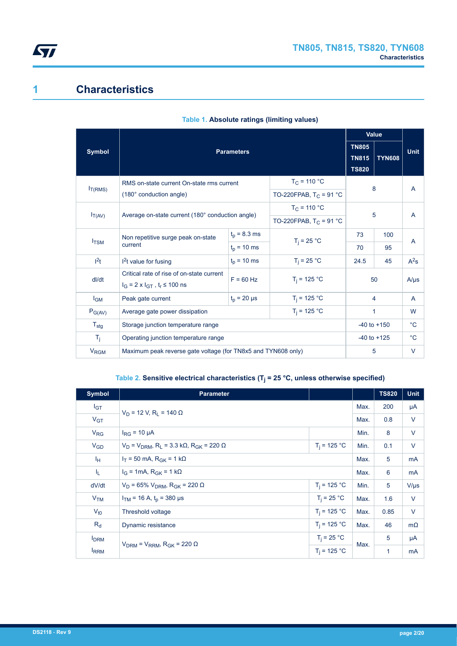

# **1 Characteristics**

|                                                                 |                                                                                                        |                                              | <b>Value</b>              |                 |             |           |
|-----------------------------------------------------------------|--------------------------------------------------------------------------------------------------------|----------------------------------------------|---------------------------|-----------------|-------------|-----------|
| <b>Symbol</b>                                                   | <b>Parameters</b>                                                                                      | <b>TN805</b><br><b>TN815</b><br><b>TS820</b> | <b>Unit</b>               |                 |             |           |
| $I_{T(RMS)}$                                                    | RMS on-state current On-state rms current                                                              |                                              | $T_{C}$ = 110 °C          |                 | 8           | A         |
|                                                                 | (180° conduction angle)                                                                                |                                              | TO-220FPAB, $T_C = 91 °C$ |                 |             |           |
|                                                                 |                                                                                                        |                                              | $T_C = 110 °C$            |                 |             |           |
| Average on-state current (180° conduction angle)<br>$I_{T(AV)}$ |                                                                                                        |                                              | TO-220FPAB, $T_C = 91 °C$ | 5               |             | A         |
|                                                                 | Non repetitive surge peak on-state                                                                     | $t_p = 8.3$ ms                               | $T_i = 25 °C$             | 73              | 100         | A         |
| $I_{TSM}$                                                       | current                                                                                                | $t_{p}$ = 10 ms                              |                           | 70              | 95          |           |
| $l^2t$                                                          | $12t$ value for fusing                                                                                 | $t_p = 10$ ms                                | $T_i = 25 °C$             | 24.5            | 45          | $A^2s$    |
| dl/dt                                                           | Critical rate of rise of on-state current<br>$F = 60$ Hz<br>$I_G = 2 \times I_{GT}$ , $t_r \le 100$ ns |                                              | $T_i = 125 °C$            |                 | 50          | $A/\mu s$ |
| $I_{GM}$                                                        | Peak gate current                                                                                      | $t_0 = 20 \mu s$                             | $T_i = 125 °C$            | 4               |             | A         |
| $P_{G(AV)}$                                                     | Average gate power dissipation                                                                         | $T_i = 125 °C$                               | 1                         |                 | W           |           |
| $T_{\text{stg}}$                                                | Storage junction temperature range                                                                     |                                              |                           | $-40$ to $+150$ | $^{\circ}C$ |           |
| $T_{\rm i}$                                                     | Operating junction temperature range                                                                   | $-40$ to $+125$                              |                           | $^{\circ}C$     |             |           |
| <b>V<sub>RGM</sub></b>                                          | Maximum peak reverse gate voltage (for TN8x5 and TYN608 only)                                          |                                              | 5                         |                 | V           |           |

### **Table 1. Absolute ratings (limiting values)**

#### **Table 2. Sensitive electrical characteristics (T<sup>j</sup> = 25 °C, unless otherwise specified)**

| <b>Symbol</b>                                                         | <b>Parameter</b>                                                     |                | <b>TS820</b> | <b>Unit</b>  |           |
|-----------------------------------------------------------------------|----------------------------------------------------------------------|----------------|--------------|--------------|-----------|
| $I_{GT}$                                                              |                                                                      |                | Max.         | 200          | μA        |
| V <sub>GT</sub>                                                       | $V_D$ = 12 V, R <sub>1</sub> = 140 $\Omega$                          |                | Max.         | 0.8          | V         |
| $V_{RG}$                                                              | $I_{\rm RG}$ = 10 µA                                                 |                | Min.         | 8            | V         |
| $V_{GD}$                                                              | $V_D$ = $V_{DRM}$ , R <sub>1</sub> = 3.3 kΩ, R <sub>GK</sub> = 220 Ω | Min.           | 0.1          | V            |           |
| Īн.                                                                   | $I_T$ = 50 mA, R <sub>GK</sub> = 1 kΩ                                | Max.           | 5            | mA           |           |
| I <sub>L</sub>                                                        | $I_G$ = 1mA, $R_{GK}$ = 1 k $\Omega$                                 | Max.           | 6            | mA           |           |
| dV/dt                                                                 | $V_D$ = 65% $V_{DRM}$ , R <sub>GK</sub> = 220 Ω                      | $T_i = 125 °C$ | Min.         | 5            | $V/\mu s$ |
| V <sub>TM</sub>                                                       | $I_{TM}$ = 16 A, $t_p$ = 380 µs                                      | $T_i = 25 °C$  | Max.         | 1.6          | V         |
| $V_{t0}$                                                              | Threshold voltage                                                    | $T_i = 125 °C$ | Max.         | 0.85         | $\vee$    |
| $R_{d}$                                                               | $T_i = 125 °C$<br>Dynamic resistance                                 |                | Max.         | 46           | $m\Omega$ |
| <b>I</b> <sub>DRM</sub>                                               |                                                                      | $T_i = 25 °C$  | Max.         | 5            | μA        |
| $V_{DRM}$ = $V_{RRM}$ , R <sub>GK</sub> = 220 $\Omega$<br><b>IRRM</b> |                                                                      | $T_i = 125 °C$ |              | $\mathbf{1}$ | mA        |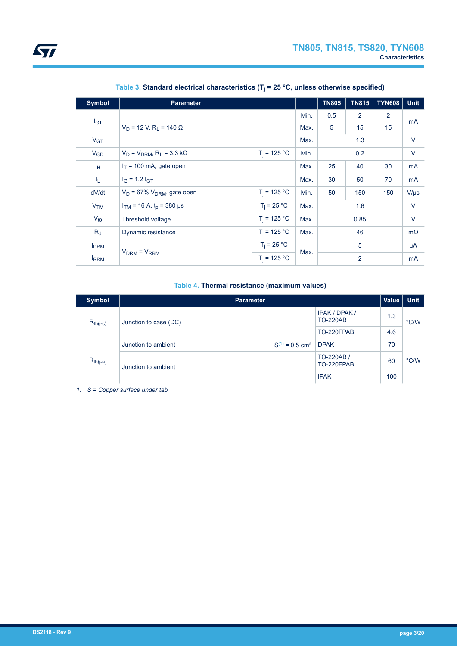| <b>Symbol</b>           | <b>Parameter</b>                                  |                |      | <b>TN805</b>   | <b>TN815</b> | <b>TYN608</b> | <b>Unit</b> |
|-------------------------|---------------------------------------------------|----------------|------|----------------|--------------|---------------|-------------|
| I <sub>GT</sub>         |                                                   |                | Min. | 0.5            | 2            | 2             | mA          |
|                         | $V_D$ = 12 V, R <sub>i</sub> = 140 $\Omega$       |                | Max. | 5              | 15           | 15            |             |
| V <sub>GT</sub>         |                                                   |                | Max. |                | 1.3          |               | V           |
| $V_{GD}$                | $V_D = V_{DRM}$ , R <sub>L</sub> = 3.3 k $\Omega$ | Min.           |      | 0.2            |              | V             |             |
| Iн                      | $I_T$ = 100 mA, gate open                         |                |      | 25             | 40           | 30            | mA          |
| IL.                     | $I_G = 1.2 I_{GT}$                                |                |      | 30             | 50           | 70            | mA          |
| dV/dt                   | $V_D$ = 67% $V_{DRM}$ , gate open                 | $T_i = 125 °C$ | Min. | 50             | 150          | 150           | $V/\mu s$   |
| V <sub>TM</sub>         | $I_{TM}$ = 16 A, $t_p$ = 380 µs                   | $T_i = 25 °C$  | Max. | 1.6            |              |               | $\vee$      |
| $V_{t0}$                | Threshold voltage                                 | $T_i = 125 °C$ | Max. |                | 0.85         |               | V           |
| $R_{d}$                 | $T_i = 125 °C$<br>Dynamic resistance              |                |      |                | 46           |               | $m\Omega$   |
| <b>I</b> <sub>DRM</sub> |                                                   | $T_i = 25 °C$  |      | 5              |              |               | μA          |
| <b>IRRM</b>             | $VDRM = VRRM$                                     |                | Max. | $\overline{2}$ |              |               | mA          |

**Table 3. Standard electrical characteristics (T<sup>j</sup> = 25 °C, unless otherwise specified)**

#### **Table 4. Thermal resistance (maximum values)**

| <b>Symbol</b> | <b>Parameter</b>      |                                 |                                         |     |               |
|---------------|-----------------------|---------------------------------|-----------------------------------------|-----|---------------|
| $R_{th(j-c)}$ | Junction to case (DC) |                                 | <b>IPAK / DPAK /</b><br><b>TO-220AB</b> | 1.3 | $\degree$ C/W |
|               |                       |                                 | TO-220FPAB                              | 4.6 |               |
|               | Junction to ambient   | $S^{(1)} = 0.5$ cm <sup>2</sup> | <b>DPAK</b>                             | 70  |               |
| $R_{th(j-a)}$ | Junction to ambient   |                                 | TO-220AB /<br>TO-220FPAB                | 60  | $\degree$ C/W |
|               |                       |                                 | <b>IPAK</b>                             | 100 |               |

*1. S = Copper surface under tab*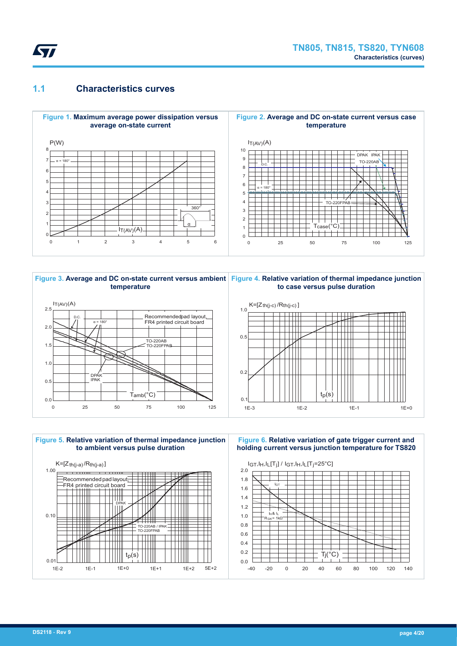

## **1.1 Characteristics curves**











1E-2 1E-1 1E+0 1E+1 1E+2 5E+2

**Figure 6. Relative variation of gate trigger current and holding current versus junction temperature for TS820**

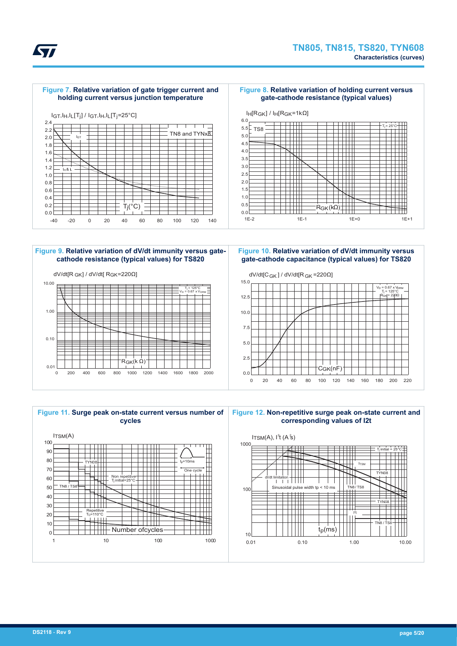

#### **Figure 7. Relative variation of gate trigger current and holding current versus junction temperature**

#### **Figure 8. Relative variation of holding current versus gate-cathode resistance (typical values)**





#### **Figure 9. Relative variation of dV/dt immunity versus gatecathode resistance (typical values) for TS820**



**Figure 10. Relative variation of dV/dt immunity versus gate-cathode capacitance (typical values) for TS820**



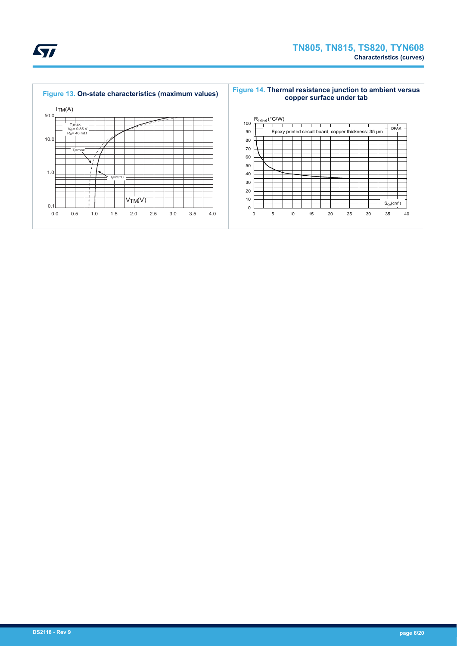



#### **Figure 14. Thermal resistance junction to ambient versus copper surface under tab**

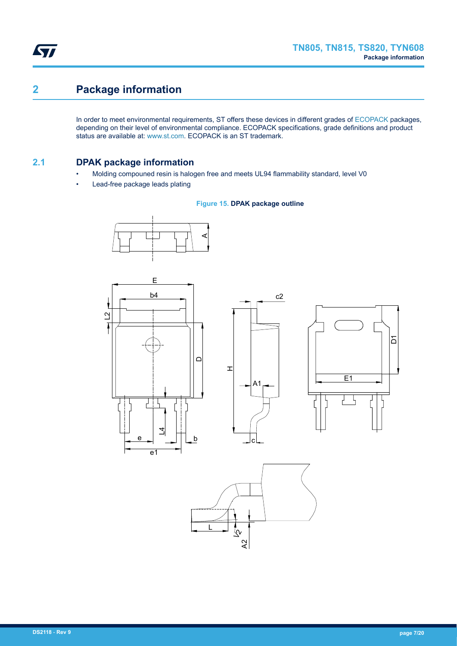

# **2 Package information**

In order to meet environmental requirements, ST offers these devices in different grades of [ECOPACK](https://www.st.com/ecopack) packages, depending on their level of environmental compliance. ECOPACK specifications, grade definitions and product status are available at: [www.st.com.](http://www.st.com) ECOPACK is an ST trademark.

## **2.1 DPAK package information**

- Molding compouned resin is halogen free and meets UL94 flammability standard, level V0
- Lead-free package leads plating

#### **Figure 15. DPAK package outline**











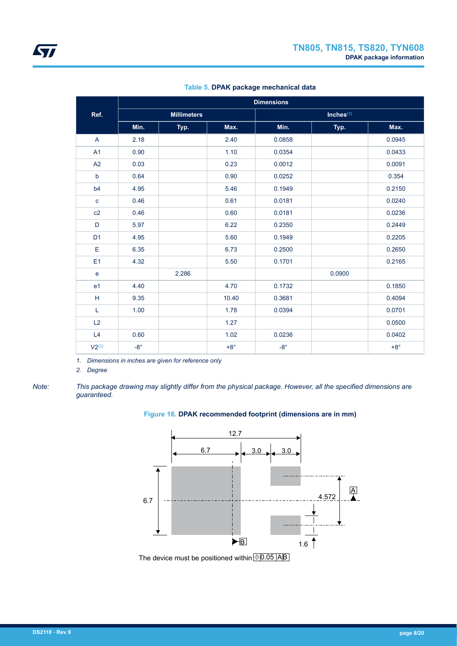|                |            | <b>Dimensions</b>  |            |              |        |            |  |  |
|----------------|------------|--------------------|------------|--------------|--------|------------|--|--|
| Ref.           |            | <b>Millimeters</b> |            |              |        |            |  |  |
|                | Min.       | Typ.               | Max.       | Min.         | Typ.   | Max.       |  |  |
| A              | 2.18       |                    | 2.40       | 0.0858       |        | 0.0945     |  |  |
| A <sub>1</sub> | 0.90       |                    | 1.10       | 0.0354       |        | 0.0433     |  |  |
| A2             | 0.03       |                    | 0.23       | 0.0012       |        | 0.0091     |  |  |
| $\mathbf b$    | 0.64       |                    | 0.90       | 0.0252       |        | 0.354      |  |  |
| b4             | 4.95       |                    | 5.46       | 0.1949       |        | 0.2150     |  |  |
| $\mathbf{C}$   | 0.46       |                    | 0.61       | 0.0181       |        | 0.0240     |  |  |
| c2             | 0.46       |                    | 0.60       | 0.0181       |        | 0.0236     |  |  |
| D              | 5.97       |                    | 6.22       | 0.2350       |        | 0.2449     |  |  |
| D <sub>1</sub> | 4.95       |                    | 5.60       | 0.1949       |        | 0.2205     |  |  |
| E              | 6.35       |                    | 6.73       | 0.2500       |        | 0.2650     |  |  |
| E1             | 4.32       |                    | 5.50       | 0.1701       |        | 0.2165     |  |  |
| $\mathbf{e}$   |            | 2.286              |            |              | 0.0900 |            |  |  |
| e <sub>1</sub> | 4.40       |                    | 4.70       | 0.1732       |        | 0.1850     |  |  |
| H              | 9.35       |                    | 10.40      | 0.3681       |        | 0.4094     |  |  |
| L              | 1.00       |                    | 1.78       | 0.0394       |        | 0.0701     |  |  |
| L2             |            |                    | 1.27       |              |        | 0.0500     |  |  |
| L4             | 0.60       |                    | 1.02       | 0.0236       |        | 0.0402     |  |  |
| $V2^{(2)}$     | $-8^\circ$ |                    | $+8^\circ$ | $-8^{\circ}$ |        | $+8^\circ$ |  |  |

#### **Table 5. DPAK package mechanical data**

*1. Dimensions in inches are given for reference only*

*2. Degree*

*Note: This package drawing may slightly differ from the physical package. However, all the specified dimensions are guaranteed.*

#### **Figure 16. DPAK recommended footprint (dimensions are in mm)**

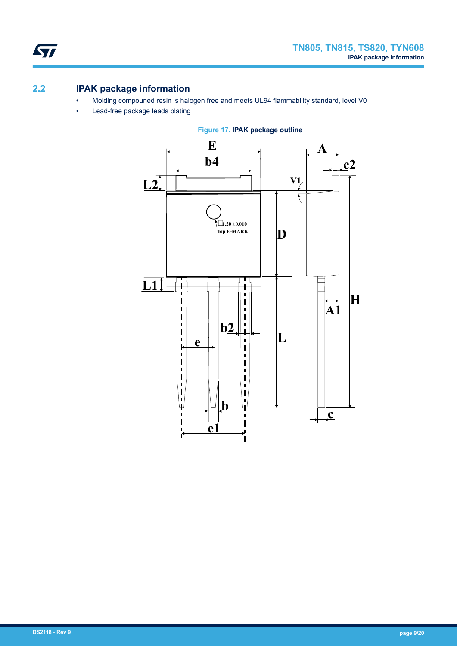

# **2.2 IPAK package information**

- Molding compouned resin is halogen free and meets UL94 flammability standard, level V0
- Lead-free package leads plating



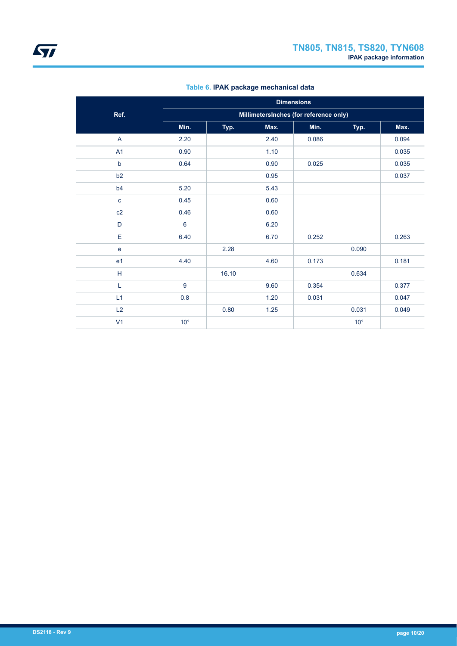|                | <b>Dimensions</b>                      |       |      |       |              |       |  |  |  |
|----------------|----------------------------------------|-------|------|-------|--------------|-------|--|--|--|
| Ref.           | MillimetersInches (for reference only) |       |      |       |              |       |  |  |  |
|                | Min.                                   | Typ.  | Max. | Min.  | Typ.         | Max.  |  |  |  |
| A              | 2.20                                   |       | 2.40 | 0.086 |              | 0.094 |  |  |  |
| A1             | 0.90                                   |       | 1.10 |       |              | 0.035 |  |  |  |
| $\mathsf b$    | 0.64                                   |       | 0.90 | 0.025 |              | 0.035 |  |  |  |
| b2             |                                        |       | 0.95 |       |              | 0.037 |  |  |  |
| b4             | 5.20                                   |       | 5.43 |       |              |       |  |  |  |
| $\mathbf c$    | 0.45                                   |       | 0.60 |       |              |       |  |  |  |
| c2             | 0.46                                   |       | 0.60 |       |              |       |  |  |  |
| D              | 6                                      |       | 6.20 |       |              |       |  |  |  |
| E              | 6.40                                   |       | 6.70 | 0.252 |              | 0.263 |  |  |  |
| $\mathbf e$    |                                        | 2.28  |      |       | 0.090        |       |  |  |  |
| e1             | 4.40                                   |       | 4.60 | 0.173 |              | 0.181 |  |  |  |
| н              |                                        | 16.10 |      |       | 0.634        |       |  |  |  |
| L              | 9                                      |       | 9.60 | 0.354 |              | 0.377 |  |  |  |
| L1             | 0.8                                    |       | 1.20 | 0.031 |              | 0.047 |  |  |  |
| L2             |                                        | 0.80  | 1.25 |       | 0.031        | 0.049 |  |  |  |
| V <sub>1</sub> | $10^{\circ}$                           |       |      |       | $10^{\circ}$ |       |  |  |  |

### **Table 6. IPAK package mechanical data**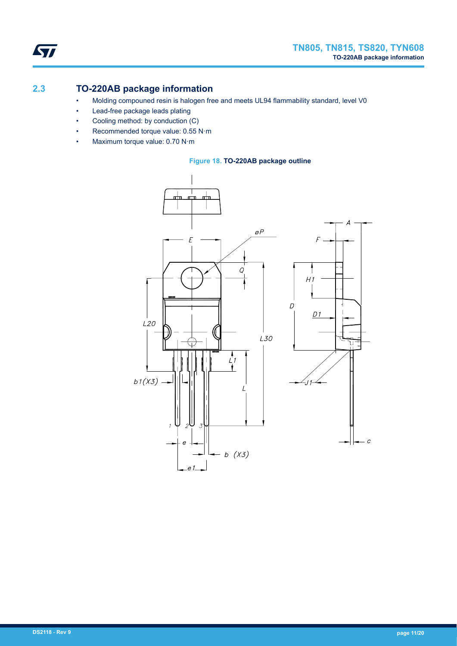

# **2.3 TO-220AB package information**

- Molding compouned resin is halogen free and meets UL94 flammability standard, level V0
- Lead-free package leads plating
- Cooling method: by conduction (C)
- Recommended torque value: 0.55 N·m
- Maximum torque value: 0.70 N·m



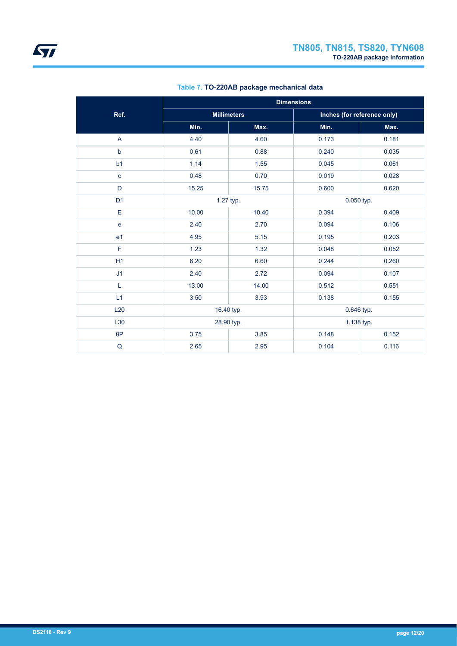|                |       | <b>Dimensions</b>  |       |                             |  |
|----------------|-------|--------------------|-------|-----------------------------|--|
| Ref.           |       | <b>Millimeters</b> |       | Inches (for reference only) |  |
|                | Min.  | Max.               | Min.  | Max.                        |  |
| A              | 4.40  | 4.60               | 0.173 | 0.181                       |  |
| b              | 0.61  | 0.88               | 0.240 | 0.035                       |  |
| b <sub>1</sub> | 1.14  | 1.55               | 0.045 | 0.061                       |  |
| $\mathbf c$    | 0.48  | 0.70               | 0.019 | 0.028                       |  |
| D              | 15.25 | 15.75              | 0.600 | 0.620                       |  |
| D <sub>1</sub> |       | 1.27 typ.          |       | 0.050 typ.                  |  |
| E              | 10.00 | 10.40              | 0.394 | 0.409                       |  |
| e              | 2.40  | 2.70               | 0.094 | 0.106                       |  |
| e <sub>1</sub> | 4.95  | 5.15               | 0.195 | 0.203                       |  |
| F              | 1.23  | 1.32               | 0.048 | 0.052                       |  |
| H1             | 6.20  | 6.60               | 0.244 | 0.260                       |  |
| J <sub>1</sub> | 2.40  | 2.72               | 0.094 | 0.107                       |  |
| L              | 13.00 | 14.00              | 0.512 | 0.551                       |  |
| L1             | 3.50  | 3.93               | 0.138 | 0.155                       |  |
| L20            |       | 16.40 typ.         |       | 0.646 typ.                  |  |
| L30            |       | 28.90 typ.         |       | 1.138 typ.                  |  |
| $\theta P$     | 3.75  | 3.85               | 0.148 | 0.152                       |  |
| $\mathsf Q$    | 2.65  | 2.95               |       | 0.116                       |  |

### **Table 7. TO-220AB package mechanical data**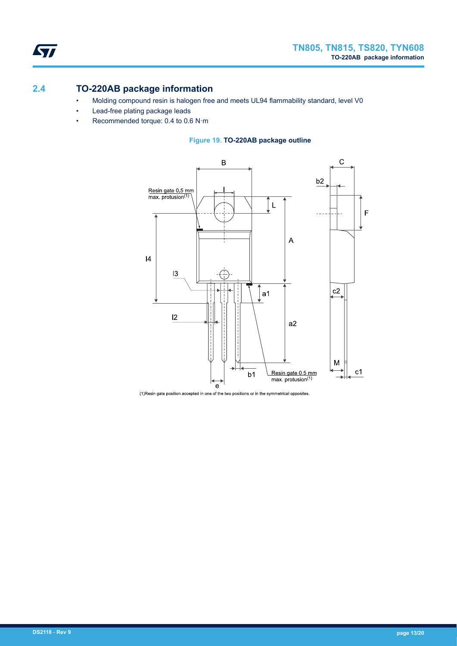# **2.4 TO-220AB package information**

ST

- Molding compound resin is halogen free and meets UL94 flammability standard, level V0
- Lead-free plating package leads
- Recommended torque: 0.4 to 0.6 N·m





(1) Resin gate position accepted in one of the two positions or in the symmetrical opposites.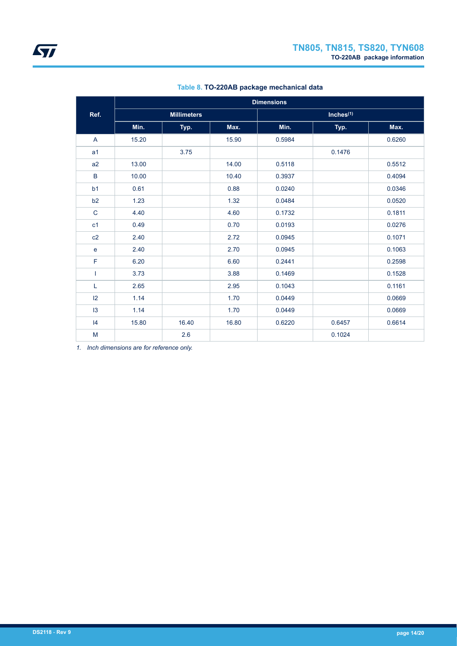|                | <b>Dimensions</b>  |       |       |        |        |        |  |  |
|----------------|--------------------|-------|-------|--------|--------|--------|--|--|
| Ref.           | <b>Millimeters</b> |       |       |        |        |        |  |  |
|                | Min.               | Typ.  | Max.  | Min.   | Typ.   | Max.   |  |  |
| A              | 15.20              |       | 15.90 | 0.5984 |        | 0.6260 |  |  |
| a <sub>1</sub> |                    | 3.75  |       |        | 0.1476 |        |  |  |
| a2             | 13.00              |       | 14.00 | 0.5118 |        | 0.5512 |  |  |
| B              | 10.00              |       | 10.40 | 0.3937 |        | 0.4094 |  |  |
| b <sub>1</sub> | 0.61               |       | 0.88  | 0.0240 |        | 0.0346 |  |  |
| b2             | 1.23               |       | 1.32  | 0.0484 |        | 0.0520 |  |  |
| $\mathsf{C}$   | 4.40               |       | 4.60  | 0.1732 |        | 0.1811 |  |  |
| c <sub>1</sub> | 0.49               |       | 0.70  | 0.0193 |        | 0.0276 |  |  |
| c2             | 2.40               |       | 2.72  | 0.0945 |        | 0.1071 |  |  |
| $\mathbf e$    | 2.40               |       | 2.70  | 0.0945 |        | 0.1063 |  |  |
| $\mathsf F$    | 6.20               |       | 6.60  | 0.2441 |        | 0.2598 |  |  |
| T              | 3.73               |       | 3.88  | 0.1469 |        | 0.1528 |  |  |
| L              | 2.65               |       | 2.95  | 0.1043 |        | 0.1161 |  |  |
| $ 2\rangle$    | 1.14               |       | 1.70  | 0.0449 |        | 0.0669 |  |  |
| 13             | 1.14               |       | 1.70  | 0.0449 |        | 0.0669 |  |  |
| 4              | 15.80              | 16.40 | 16.80 | 0.6220 | 0.6457 | 0.6614 |  |  |
| M              |                    | 2.6   |       |        | 0.1024 |        |  |  |

### **Table 8. TO-220AB package mechanical data**

*1. Inch dimensions are for reference only.*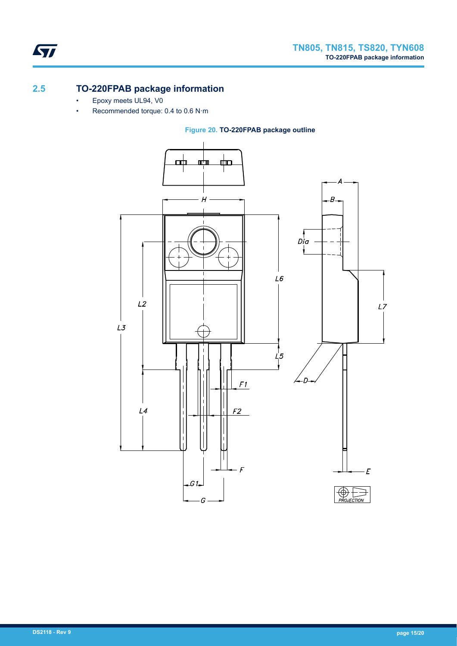

# **2.5 TO-220FPAB package information**

- Epoxy meets UL94, V0
- Recommended torque: 0.4 to 0.6 N·m

**Figure 20. TO-220FPAB package outline**

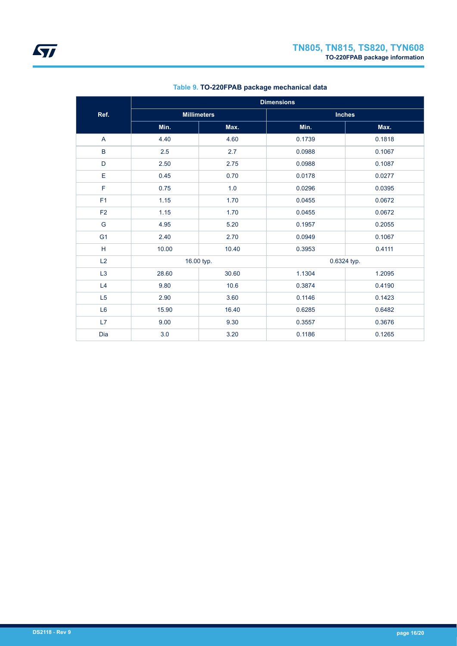|                | <b>Dimensions</b> |                    |             |               |  |  |
|----------------|-------------------|--------------------|-------------|---------------|--|--|
| Ref.           |                   | <b>Millimeters</b> |             | <b>Inches</b> |  |  |
|                | Min.              | Max.               | Min.        | Max.          |  |  |
| A              | 4.40              | 4.60               | 0.1739      | 0.1818        |  |  |
| $\sf B$        | 2.5               | 2.7                | 0.0988      | 0.1067        |  |  |
| $\mathsf D$    | 2.50              | 2.75               | 0.0988      | 0.1087        |  |  |
| E              | 0.45              | 0.70               | 0.0178      | 0.0277        |  |  |
| F              | 0.75              | 1.0                | 0.0296      | 0.0395        |  |  |
| F <sub>1</sub> | 1.15              | 1.70               | 0.0455      | 0.0672        |  |  |
| F <sub>2</sub> | 1.15              | 1.70               | 0.0455      | 0.0672        |  |  |
| G              | 4.95              | 5.20               | 0.1957      | 0.2055        |  |  |
| G <sub>1</sub> | 2.40              | 2.70               | 0.0949      | 0.1067        |  |  |
| H              | 10.00             | 10.40              | 0.3953      | 0.4111        |  |  |
| L2             |                   | 16.00 typ.         | 0.6324 typ. |               |  |  |
| L <sub>3</sub> | 28.60             | 30.60              | 1.1304      | 1.2095        |  |  |
| L4             | 9.80              | 10.6               | 0.3874      | 0.4190        |  |  |
| L <sub>5</sub> | 2.90              | 3.60               | 0.1146      | 0.1423        |  |  |
| L <sub>6</sub> | 15.90             | 16.40              | 0.6285      | 0.6482        |  |  |
| L7             | 9.00              | 9.30               | 0.3557      | 0.3676        |  |  |
| Dia            | 3.0               | 3.20               | 0.1186      | 0.1265        |  |  |

### **Table 9. TO-220FPAB package mechanical data**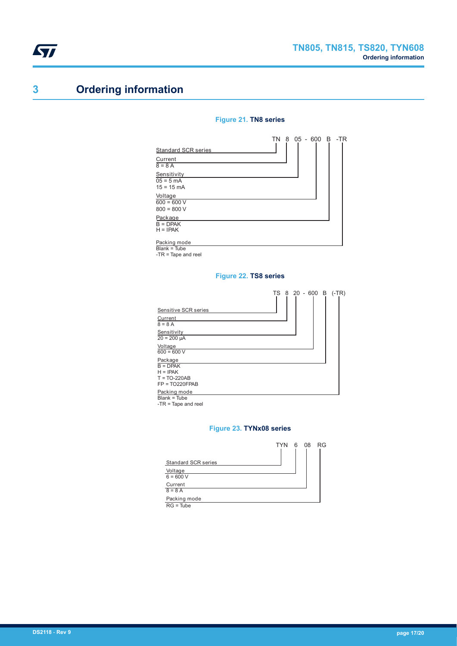# **3 Ordering information**

#### **Figure 21. TN8 series**

|                            |  | TN 8 05 - 600 B |  | -TR |
|----------------------------|--|-----------------|--|-----|
| <b>Standard SCR series</b> |  |                 |  |     |
| Current                    |  |                 |  |     |
| $8 = 8 A$                  |  |                 |  |     |
| Sensitivity                |  |                 |  |     |
| $05 = 5 mA$                |  |                 |  |     |
| $15 = 15 \text{ mA}$       |  |                 |  |     |
| Voltage                    |  |                 |  |     |
| $600 = 600 V$              |  |                 |  |     |
| $800 = 800 V$              |  |                 |  |     |
| Package                    |  |                 |  |     |
| $B = DPAK$                 |  |                 |  |     |
| $H = IPAK$                 |  |                 |  |     |
| Packing mode               |  |                 |  |     |

Packing mode Blank = Tube

-TR = Tape and reel

#### **Figure 22. TS8 series**

|                                                       | TS 8 20 - 600 B<br>$(-TR)$ |
|-------------------------------------------------------|----------------------------|
| Sensitive SCR series                                  |                            |
| Current                                               |                            |
| $8 = 8 A$                                             |                            |
| Sensitivity                                           |                            |
| $20 = 200 \mu A$                                      |                            |
| Voltage                                               |                            |
| $600 = 600 V$                                         |                            |
| Package                                               |                            |
| $B = DPAK$                                            |                            |
| $H = IPAK$                                            |                            |
| $T = TO-220AB$                                        |                            |
| $FP = TO220FPAB$                                      |                            |
|                                                       |                            |
|                                                       |                            |
| Packing mode<br>Blank = Tube<br>$-TR = Tape$ and reel |                            |

#### **Figure 23. TYNx08 series**

|                            | <b>TYN</b> | - 6 | 08 | RG |
|----------------------------|------------|-----|----|----|
|                            |            |     |    |    |
| <b>Standard SCR series</b> |            |     |    |    |
| Voltage                    |            |     |    |    |
| $6 = 600 V$                |            |     |    |    |
| Current                    |            |     |    |    |
| $8 = 8$ A                  |            |     |    |    |
| Packing mode               |            |     |    |    |
| $RG = Tube$                |            |     |    |    |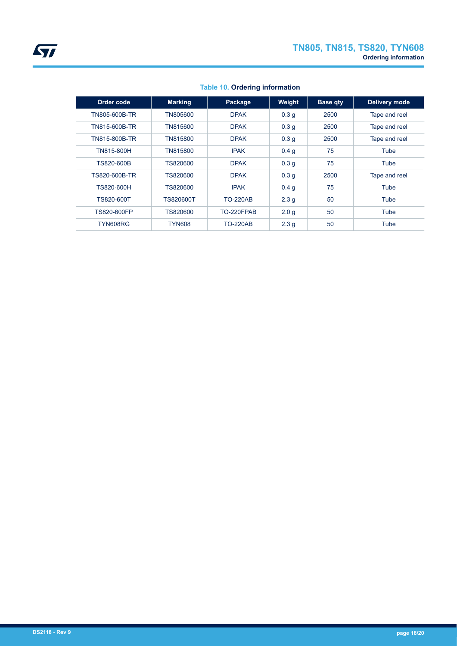| Order code    | <b>Marking</b> | Package         | Weight           | <b>Base gty</b> | <b>Delivery mode</b> |  |
|---------------|----------------|-----------------|------------------|-----------------|----------------------|--|
| TN805-600B-TR | TN805600       | <b>DPAK</b>     | 0.3 <sub>g</sub> | 2500            | Tape and reel        |  |
| TN815-600B-TR | TN815600       | <b>DPAK</b>     | 0.3 <sub>q</sub> | 2500            | Tape and reel        |  |
| TN815-800B-TR | TN815800       | <b>DPAK</b>     | 0.3 <sub>q</sub> | 2500            | Tape and reel        |  |
| TN815-800H    | TN815800       | <b>IPAK</b>     | 0.4 <sub>q</sub> | 75              | Tube                 |  |
| TS820-600B    | TS820600       | <b>DPAK</b>     | 0.3 <sub>q</sub> | 75              | Tube                 |  |
| TS820-600B-TR | TS820600       | <b>DPAK</b>     | 0.3 <sub>q</sub> | 2500            | Tape and reel        |  |
| TS820-600H    | TS820600       | <b>IPAK</b>     | 0.4 <sub>q</sub> | 75              | Tube                 |  |
| TS820-600T    | TS820600T      | <b>TO-220AB</b> | 2.3 <sub>g</sub> | 50              | Tube                 |  |
| TS820-600FP   | TS820600       | TO-220FPAB      | 2.0 <sub>q</sub> | 50              | Tube                 |  |
| TYN608RG      | TYN608         | <b>TO-220AB</b> | 2.3 <sub>g</sub> | 50              | Tube                 |  |

### **Table 10. Ordering information**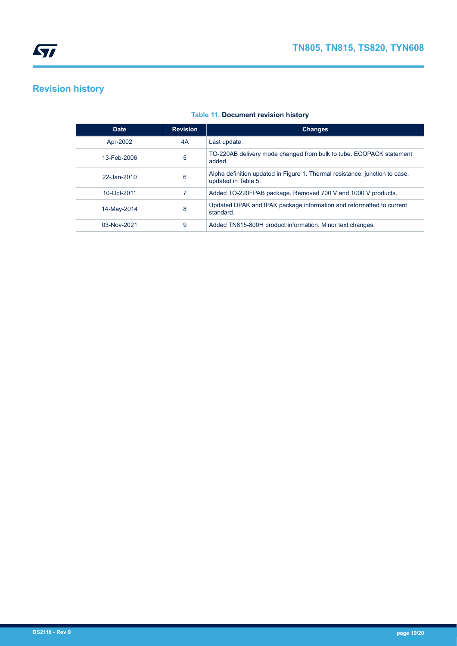

# **Revision history**

| <b>Date</b>        | <b>Revision</b> | <b>Changes</b>                                                                                     |
|--------------------|-----------------|----------------------------------------------------------------------------------------------------|
| Apr-2002           | 4A              | Last update.                                                                                       |
| 13-Feb-2006        | 5               | TO-220AB delivery mode changed from bulk to tube. ECOPACK statement<br>added.                      |
| $22 -$ Jan- $2010$ | 6               | Alpha definition updated in Figure 1. Thermal resistance, junction to case,<br>updated in Table 5. |
| 10-Oct-2011        |                 | Added TO-220FPAB package. Removed 700 V and 1000 V products.                                       |
| 14-May-2014        | 8               | Updated DPAK and IPAK package information and reformatted to current<br>standard.                  |
| 03-Nov-2021        | 9               | Added TN815-800H product information. Minor text changes.                                          |

#### **Table 11. Document revision history**